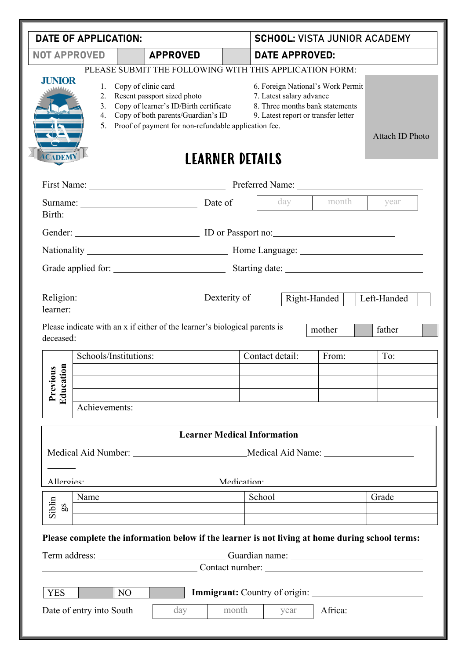| DATE OF APPLICATION:                                                                                                                                                                                                                                                                                                      |                          |                |                                                                                                      |                         |                       | <b>SCHOOL: VISTA JUNIOR ACADEMY</b>                                                                                                     |                        |                       |  |  |
|---------------------------------------------------------------------------------------------------------------------------------------------------------------------------------------------------------------------------------------------------------------------------------------------------------------------------|--------------------------|----------------|------------------------------------------------------------------------------------------------------|-------------------------|-----------------------|-----------------------------------------------------------------------------------------------------------------------------------------|------------------------|-----------------------|--|--|
| <b>NOT APPROVED</b><br><b>APPROVED</b>                                                                                                                                                                                                                                                                                    |                          |                |                                                                                                      |                         | <b>DATE APPROVED:</b> |                                                                                                                                         |                        |                       |  |  |
| PLEASE SUBMIT THE FOLLOWING WITH THIS APPLICATION FORM:<br>.IUNIOR<br>1.<br>Copy of clinic card<br>Resent passport sized photo<br>2.<br>Copy of learner's ID/Birth certificate<br>$\mathfrak{Z}$ .<br>Copy of both parents/Guardian's ID<br>4.<br>5. Proof of payment for non-refundable application fee.<br><b>CADEM</b> |                          |                |                                                                                                      |                         |                       | 6. Foreign National's Work Permit<br>7. Latest salary advance<br>8. Three months bank statements<br>9. Latest report or transfer letter | <b>Attach ID Photo</b> |                       |  |  |
| <b>LEARNER DETAILS</b>                                                                                                                                                                                                                                                                                                    |                          |                |                                                                                                      |                         |                       |                                                                                                                                         |                        |                       |  |  |
|                                                                                                                                                                                                                                                                                                                           | Surname: Date of         |                |                                                                                                      |                         |                       | day                                                                                                                                     | year                   |                       |  |  |
| Birth:                                                                                                                                                                                                                                                                                                                    |                          |                |                                                                                                      |                         |                       |                                                                                                                                         |                        |                       |  |  |
|                                                                                                                                                                                                                                                                                                                           |                          |                |                                                                                                      |                         |                       |                                                                                                                                         |                        |                       |  |  |
|                                                                                                                                                                                                                                                                                                                           |                          |                |                                                                                                      |                         |                       |                                                                                                                                         |                        |                       |  |  |
|                                                                                                                                                                                                                                                                                                                           |                          |                |                                                                                                      |                         |                       |                                                                                                                                         |                        |                       |  |  |
| learner:<br>deceased:                                                                                                                                                                                                                                                                                                     |                          |                | Religion: Dexterity of<br>Please indicate with an x if either of the learner's biological parents is |                         |                       |                                                                                                                                         | Right-Handed<br>mother | Left-Handed<br>father |  |  |
|                                                                                                                                                                                                                                                                                                                           | Schools/Institutions:    |                |                                                                                                      |                         |                       | Contact detail:                                                                                                                         | From:                  | To:                   |  |  |
| $\epsilon$<br>$\mathbf{S}$<br>Educati<br>Previou                                                                                                                                                                                                                                                                          | Achievements:            |                |                                                                                                      |                         |                       |                                                                                                                                         |                        |                       |  |  |
|                                                                                                                                                                                                                                                                                                                           |                          |                | <b>Learner Medical Information</b>                                                                   |                         |                       |                                                                                                                                         |                        |                       |  |  |
|                                                                                                                                                                                                                                                                                                                           |                          |                | Medical Aid Number: Medical Aid Name:                                                                |                         |                       |                                                                                                                                         |                        |                       |  |  |
| Allergies.                                                                                                                                                                                                                                                                                                                |                          |                |                                                                                                      | Medication <sup>.</sup> |                       |                                                                                                                                         |                        |                       |  |  |
| Siblin<br>$\overline{\mathbf{S}}$                                                                                                                                                                                                                                                                                         | Name                     |                |                                                                                                      |                         | School                |                                                                                                                                         |                        | Grade                 |  |  |
|                                                                                                                                                                                                                                                                                                                           |                          |                | Please complete the information below if the learner is not living at home during school terms:      |                         |                       |                                                                                                                                         |                        | Contact number:       |  |  |
| <b>YES</b>                                                                                                                                                                                                                                                                                                                |                          | N <sub>O</sub> |                                                                                                      |                         |                       |                                                                                                                                         |                        |                       |  |  |
|                                                                                                                                                                                                                                                                                                                           | Date of entry into South |                | day                                                                                                  | month                   |                       | year                                                                                                                                    | Africa:                |                       |  |  |
|                                                                                                                                                                                                                                                                                                                           |                          |                |                                                                                                      |                         |                       |                                                                                                                                         |                        |                       |  |  |